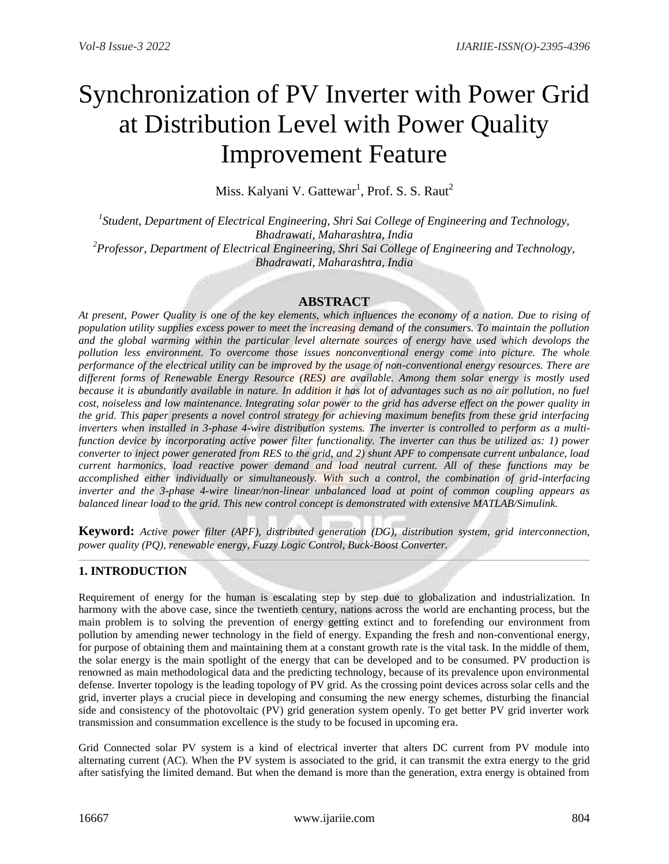# Synchronization of PV Inverter with Power Grid at Distribution Level with Power Quality Improvement Feature

Miss. Kalyani V. Gattewar<sup>1</sup>, Prof. S. S. Raut<sup>2</sup>

<sup>1</sup> Student, Department of Electrical Engineering, Shri Sai College of Engineering and Technology, *Bhadrawati, Maharashtra, India <sup>2</sup>Professor, Department of Electrical Engineering, Shri Sai College of Engineering and Technology, Bhadrawati, Maharashtra, India*

# **ABSTRACT**

*At present, Power Quality is one of the key elements, which influences the economy of a nation. Due to rising of population utility supplies excess power to meet the increasing demand of the consumers. To maintain the pollution and the global warming within the particular level alternate sources of energy have used which devolops the pollution less environment. To overcome those issues nonconventional energy come into picture. The whole performance of the electrical utility can be improved by the usage of non-conventional energy resources. There are different forms of Renewable Energy Resource (RES) are available. Among them solar energy is mostly used*  because it is abundantly available in nature. In addition it has lot of advantages such as no air pollution, no fuel *cost, noiseless and low maintenance. Integrating solar power to the grid has adverse effect on the power quality in the grid. This paper presents a novel control strategy for achieving maximum benefits from these grid interfacing inverters when installed in 3-phase 4-wire distribution systems. The inverter is controlled to perform as a multifunction device by incorporating active power filter functionality. The inverter can thus be utilized as: 1) power converter to inject power generated from RES to the grid, and 2) shunt APF to compensate current unbalance, load current harmonics, load reactive power demand and load neutral current. All of these functions may be accomplished either individually or simultaneously. With such a control, the combination of grid-interfacing inverter and the 3-phase 4-wire linear/non-linear unbalanced load at point of common coupling appears as balanced linear load to the grid. This new control concept is demonstrated with extensive MATLAB/Simulink.*

**Keyword:** *Active power filter (APF), distributed generation (DG), distribution system, grid interconnection, power quality (PQ), renewable energy, Fuzzy Logic Control, Buck-Boost Converter.*

# **1. INTRODUCTION**

Requirement of energy for the human is escalating step by step due to globalization and industrialization. In harmony with the above case, since the twentieth century, nations across the world are enchanting process, but the main problem is to solving the prevention of energy getting extinct and to forefending our environment from pollution by amending newer technology in the field of energy. Expanding the fresh and non-conventional energy, for purpose of obtaining them and maintaining them at a constant growth rate is the vital task. In the middle of them, the solar energy is the main spotlight of the energy that can be developed and to be consumed. PV production is renowned as main methodological data and the predicting technology, because of its prevalence upon environmental defense. Inverter topology is the leading topology of PV grid. As the crossing point devices across solar cells and the grid, inverter plays a crucial piece in developing and consuming the new energy schemes, disturbing the financial side and consistency of the photovoltaic (PV) grid generation system openly. To get better PV grid inverter work transmission and consummation excellence is the study to be focused in upcoming era.

Grid Connected solar PV system is a kind of electrical inverter that alters DC current from PV module into alternating current (AC). When the PV system is associated to the grid, it can transmit the extra energy to the grid after satisfying the limited demand. But when the demand is more than the generation, extra energy is obtained from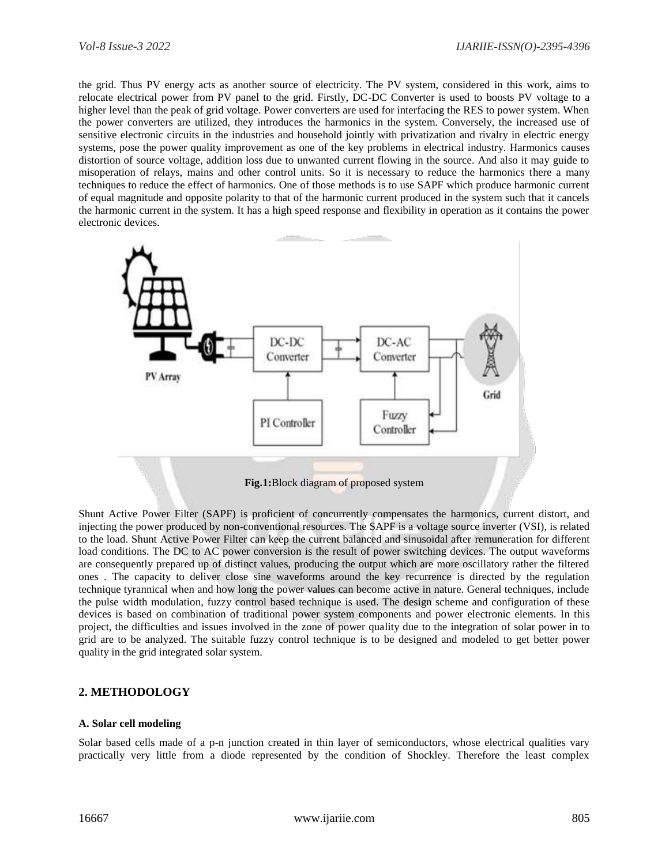the grid. Thus PV energy acts as another source of electricity. The PV system, considered in this work, aims to relocate electrical power from PV panel to the grid. Firstly, DC-DC Converter is used to boosts PV voltage to a higher level than the peak of grid voltage. Power converters are used for interfacing the RES to power system. When the power converters are utilized, they introduces the harmonics in the system. Conversely, the increased use of sensitive electronic circuits in the industries and household jointly with privatization and rivalry in electric energy systems, pose the power quality improvement as one of the key problems in electrical industry. Harmonics causes distortion of source voltage, addition loss due to unwanted current flowing in the source. And also it may guide to misoperation of relays, mains and other control units. So it is necessary to reduce the harmonics there a many techniques to reduce the effect of harmonics. One of those methods is to use SAPF which produce harmonic current of equal magnitude and opposite polarity to that of the harmonic current produced in the system such that it cancels the harmonic current in the system. It has a high speed response and flexibility in operation as it contains the power electronic devices.



Shunt Active Power Filter (SAPF) is proficient of concurrently compensates the harmonics, current distort, and injecting the power produced by non-conventional resources. The SAPF is a voltage source inverter (VSI), is related to the load. Shunt Active Power Filter can keep the current balanced and sinusoidal after remuneration for different load conditions. The DC to AC power conversion is the result of power switching devices. The output waveforms are consequently prepared up of distinct values, producing the output which are more oscillatory rather the filtered ones . The capacity to deliver close sine waveforms around the key recurrence is directed by the regulation technique tyrannical when and how long the power values can become active in nature. General techniques, include the pulse width modulation, fuzzy control based technique is used. The design scheme and configuration of these devices is based on combination of traditional power system components and power electronic elements. In this project, the difficulties and issues involved in the zone of power quality due to the integration of solar power in to grid are to be analyzed. The suitable fuzzy control technique is to be designed and modeled to get better power quality in the grid integrated solar system.

## **2. METHODOLOGY**

#### **A. Solar cell modeling**

Solar based cells made of a p-n junction created in thin layer of semiconductors, whose electrical qualities vary practically very little from a diode represented by the condition of Shockley. Therefore the least complex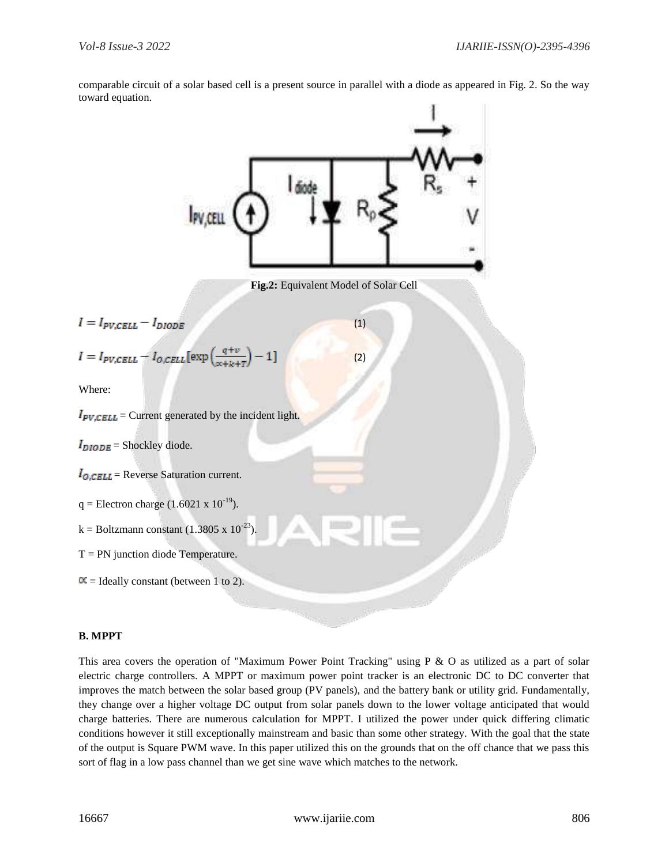

comparable circuit of a solar based cell is a present source in parallel with a diode as appeared in Fig. 2. So the way toward equation.

## **B. MPPT**

This area covers the operation of "Maximum Power Point Tracking" using P & O as utilized as a part of solar electric charge controllers. A MPPT or maximum power point tracker is an electronic DC to DC converter that improves the match between the solar based group (PV panels), and the battery bank or utility grid. Fundamentally, they change over a higher voltage DC output from solar panels down to the lower voltage anticipated that would charge batteries. There are numerous calculation for MPPT. I utilized the power under quick differing climatic conditions however it still exceptionally mainstream and basic than some other strategy. With the goal that the state of the output is Square PWM wave. In this paper utilized this on the grounds that on the off chance that we pass this sort of flag in a low pass channel than we get sine wave which matches to the network.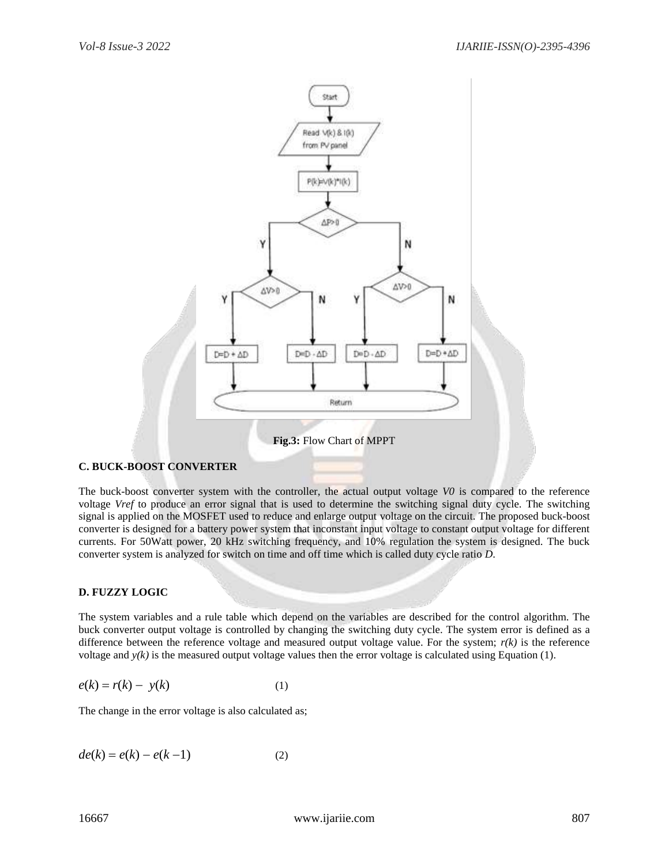

#### **C. BUCK-BOOST CONVERTER**

The buck-boost converter system with the controller, the actual output voltage *V0* is compared to the reference voltage *Vref* to produce an error signal that is used to determine the switching signal duty cycle. The switching signal is applied on the MOSFET used to reduce and enlarge output voltage on the circuit. The proposed buck-boost converter is designed for a battery power system that inconstant input voltage to constant output voltage for different currents. For 50Watt power, 20 kHz switching frequency, and 10% regulation the system is designed. The buck converter system is analyzed for switch on time and off time which is called duty cycle ratio *D*.

#### **D. FUZZY LOGIC**

The system variables and a rule table which depend on the variables are described for the control algorithm. The buck converter output voltage is controlled by changing the switching duty cycle. The system error is defined as a difference between the reference voltage and measured output voltage value. For the system;  $r(k)$  is the reference voltage and  $y(k)$  is the measured output voltage values then the error voltage is calculated using Equation (1).

$$
e(k) = r(k) - y(k) \tag{1}
$$

The change in the error voltage is also calculated as;

$$
de(k) = e(k) - e(k-1)
$$
 (2)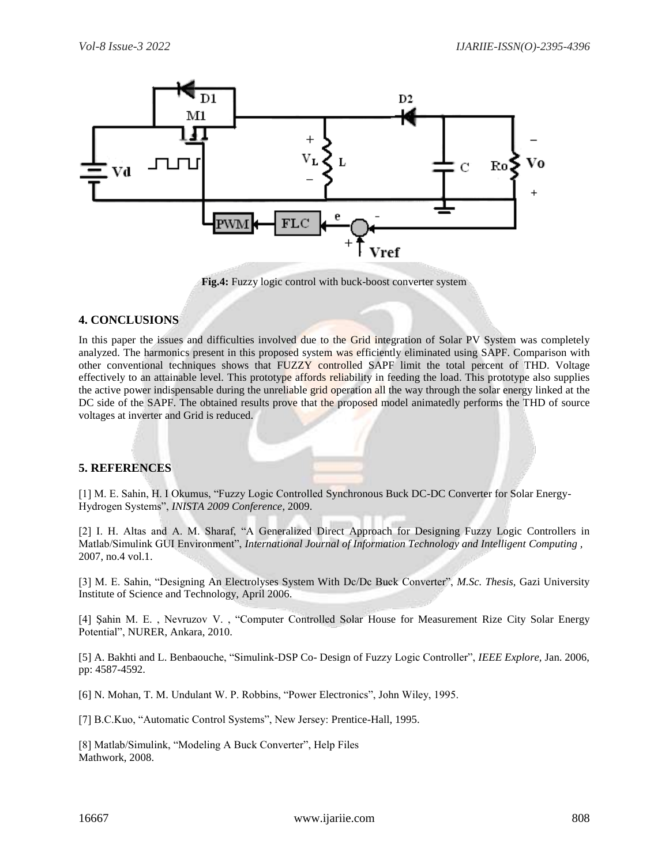

**Fig.4:** Fuzzy logic control with buck-boost converter system

## **4. CONCLUSIONS**

In this paper the issues and difficulties involved due to the Grid integration of Solar PV System was completely analyzed. The harmonics present in this proposed system was efficiently eliminated using SAPF. Comparison with other conventional techniques shows that FUZZY controlled SAPF limit the total percent of THD. Voltage effectively to an attainable level. This prototype affords reliability in feeding the load. This prototype also supplies the active power indispensable during the unreliable grid operation all the way through the solar energy linked at the DC side of the SAPF. The obtained results prove that the proposed model animatedly performs the THD of source voltages at inverter and Grid is reduced.

# **5. REFERENCES**

[1] M. E. Sahin, H. I Okumus, "Fuzzy Logic Controlled Synchronous Buck DC-DC Converter for Solar Energy-Hydrogen Systems", *INISTA 2009 Conference*, 2009.

[2] I. H. Altas and A. M. Sharaf, "A Generalized Direct Approach for Designing Fuzzy Logic Controllers in Matlab/Simulink GUI Environment", *International Journal of Information Technology and Intelligent Computing ,* 2007, no.4 vol.1.

[3] M. E. Sahin, "Designing An Electrolyses System With Dc/Dc Buck Converter", *M.Sc. Thesis*, Gazi University Institute of Science and Technology, April 2006.

[4] Şahin M. E. , Nevruzov V. , "Computer Controlled Solar House for Measurement Rize City Solar Energy Potential", NURER, Ankara, 2010.

[5] A. Bakhti and L. Benbaouche, "Simulink-DSP Co- Design of Fuzzy Logic Controller", *IEEE Explore,* Jan. 2006, pp: 4587-4592.

[6] N. Mohan, T. M. Undulant W. P. Robbins, "Power Electronics", John Wiley, 1995.

[7] B.C.Kuo, "Automatic Control Systems", New Jersey: Prentice-Hall, 1995.

[8] Matlab/Simulink, "Modeling A Buck Converter", Help Files Mathwork, 2008.